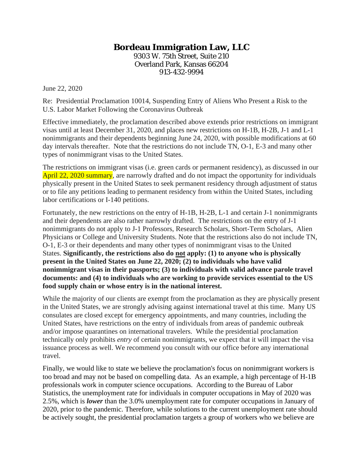## **Bordeau Immigration Law, LLC**

9303 W. 75th Street, Suite 210 Overland Park, Kansas 66204 913-432-9994

June 22, 2020

Re: Presidential Proclamation 10014, Suspending Entry of Aliens Who Present a Risk to the U.S. Labor Market Following the Coronavirus Outbreak

Effective immediately, the proclamation described above extends prior restrictions on immigrant visas until at least December 31, 2020, and places new restrictions on H-1B, H-2B, J-1 and L-1 nonimmigrants and their dependents beginning June 24, 2020, with possible modifications at 60 day intervals thereafter. Note that the restrictions do not include TN, O-1, E-3 and many other types of nonimmigrant visas to the United States.

The restrictions on immigrant visas (i.e. green cards or permanent residency), as discussed in our April 22, 2020 summary, are narrowly drafted and do not impact the opportunity for individuals physically present in the United States to seek permanent residency through adjustment of status or to file any petitions leading to permanent residency from within the United States, including labor certifications or I-140 petitions.

Fortunately, the new restrictions on the entry of H-1B, H-2B, L-1 and certain J-1 nonimmigrants and their dependents are also rather narrowly drafted. The restrictions on the entry of J-1 nonimmigrants do not apply to J-1 Professors, Research Scholars, Short-Term Scholars, Alien Physicians or College and University Students. Note that the restrictions also do not include TN, O-1, E-3 or their dependents and many other types of nonimmigrant visas to the United States. **Significantly, the restrictions also do not apply: (1) to anyone who is physically present in the United States on June 22, 2020; (2) to individuals who have valid nonimmigrant visas in their passports; (3) to individuals with valid advance parole travel documents: and (4) to individuals who are working to provide services essential to the US food supply chain or whose entry is in the national interest.**

While the majority of our clients are exempt from the proclamation as they are physically present in the United States, we are strongly advising against international travel at this time. Many US consulates are closed except for emergency appointments, and many countries, including the United States, have restrictions on the entry of individuals from areas of pandemic outbreak and/or impose quarantines on international travelers. While the presidential proclamation technically only prohibits *entry* of certain nonimmigrants, we expect that it will impact the visa issuance process as well. We recommend you consult with our office before any international travel.

Finally, we would like to state we believe the proclamation's focus on nonimmigrant workers is too broad and may not be based on compelling data. As an example, a high percentage of H-1B professionals work in computer science occupations. According to the Bureau of Labor Statistics, the unemployment rate for individuals in computer occupations in May of 2020 was 2.5%, which is *lower* than the 3.0% unemployment rate for computer occupations in January of 2020, prior to the pandemic. Therefore, while solutions to the current unemployment rate should be actively sought, the presidential proclamation targets a group of workers who we believe are